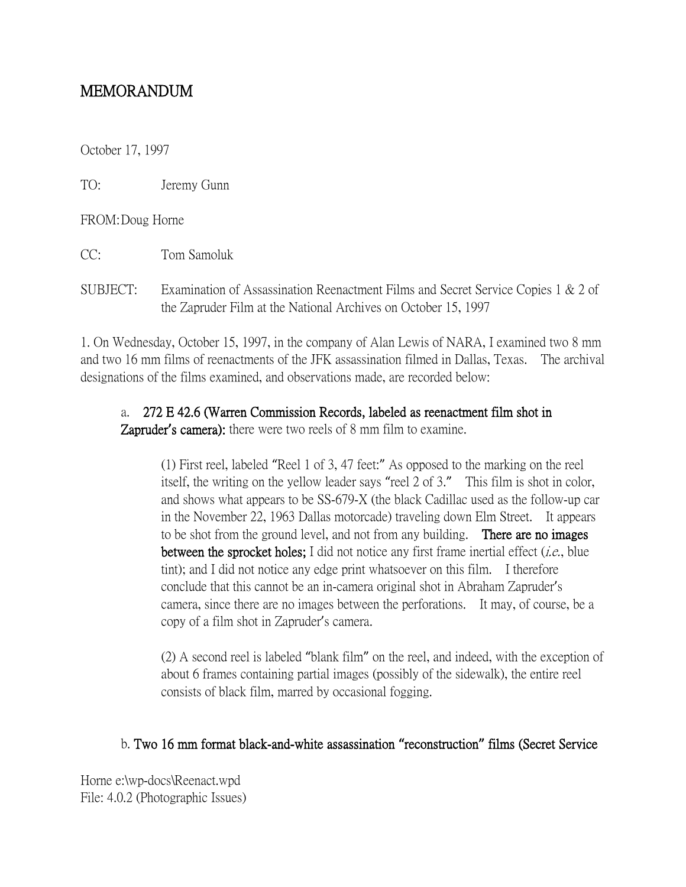## MEMORANDUM

October 17, 1997

TO: Jeremy Gunn

FROM:Doug Horne

CC: Tom Samoluk

SUBJECT: Examination of Assassination Reenactment Films and Secret Service Copies 1 & 2 of the Zapruder Film at the National Archives on October 15, 1997

1. On Wednesday, October 15, 1997, in the company of Alan Lewis of NARA, I examined two 8 mm and two 16 mm films of reenactments of the JFK assassination filmed in Dallas, Texas. The archival designations of the films examined, and observations made, are recorded below:

## a. 272 E 42.6 (Warren Commission Records, labeled as reenactment film shot in

Zapruder**'**s camera): there were two reels of 8 mm film to examine.

(1) First reel, labeled "Reel 1 of 3, 47 feet:" As opposed to the marking on the reel itself, the writing on the yellow leader says "reel 2 of 3." This film is shot in color, and shows what appears to be SS-679-X (the black Cadillac used as the follow-up car in the November 22, 1963 Dallas motorcade) traveling down Elm Street. It appears to be shot from the ground level, and not from any building. There are no images between the sprocket holes; I did not notice any first frame inertial effect  $(i.e.,$  blue tint); and I did not notice any edge print whatsoever on this film. I therefore conclude that this cannot be an in-camera original shot in Abraham Zapruder's camera, since there are no images between the perforations. It may, of course, be a copy of a film shot in Zapruder's camera.

(2) A second reel is labeled "blank film" on the reel, and indeed, with the exception of about 6 frames containing partial images (possibly of the sidewalk), the entire reel consists of black film, marred by occasional fogging.

## b. Two 16 mm format black-and-white assassination **"**reconstruction**"** films (Secret Service

Horne e:\wp-docs\Reenact.wpd File: 4.0.2 (Photographic Issues)